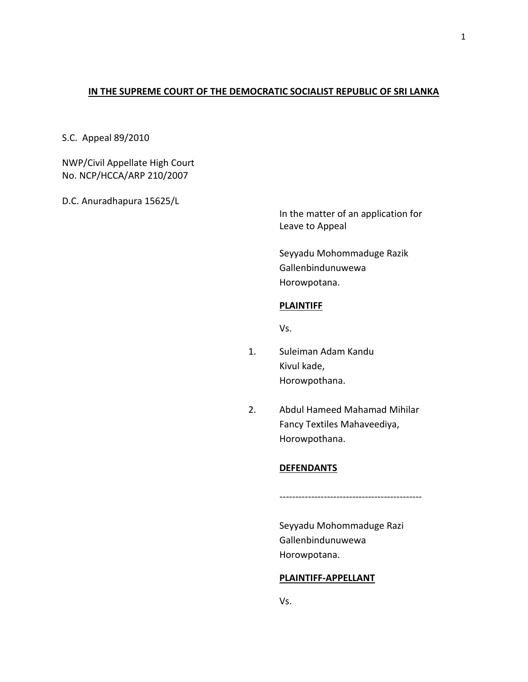## **IN THE SUPREME COURT OF THE DEMOCRATIC SOCIALIST REPUBLIC OF SRI LANKA**

S.C. Appeal 89/2010

NWP/Civil Appellate High Court No. NCP/HCCA/ARP 210/2007

D.C. Anuradhapura 15625/L

In the matter of an application for Leave to Appeal

Seyyadu Mohommaduge Razik Gallenbindunuwewa Horowpotana.

## **PLAINTIFF**

Vs.

- 1. Suleiman Adam Kandu Kivul kade, Horowpothana.
- 2. Abdul Hameed Mahamad Mihilar Fancy Textiles Mahaveediya, Horowpothana.

## **DEFENDANTS**

Seyyadu Mohommaduge Razi Gallenbindunuwewa Horowpotana.

---------------------------------------------

## **PLAINTIFF-APPELLANT**

Vs.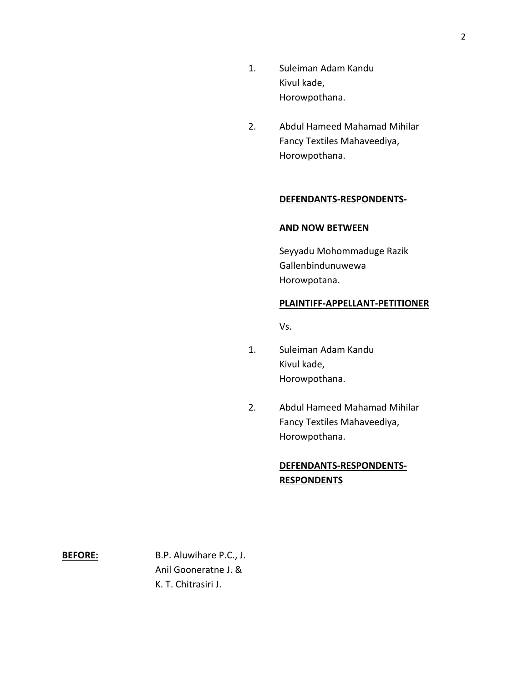- 1. Suleiman Adam Kandu Kivul kade, Horowpothana.
- 2. Abdul Hameed Mahamad Mihilar Fancy Textiles Mahaveediya, Horowpothana.

### **DEFENDANTS-RESPONDENTS-**

## **AND NOW BETWEEN**

Seyyadu Mohommaduge Razik Gallenbindunuwewa Horowpotana.

## **PLAINTIFF-APPELLANT-PETITIONER**

Vs.

- 1. Suleiman Adam Kandu Kivul kade, Horowpothana.
- 2. Abdul Hameed Mahamad Mihilar Fancy Textiles Mahaveediya, Horowpothana.

# **DEFENDANTS-RESPONDENTS-RESPONDENTS**

**BEFORE:** B.P. Aluwihare P.C., J. Anil Gooneratne J. & K. T. Chitrasiri J.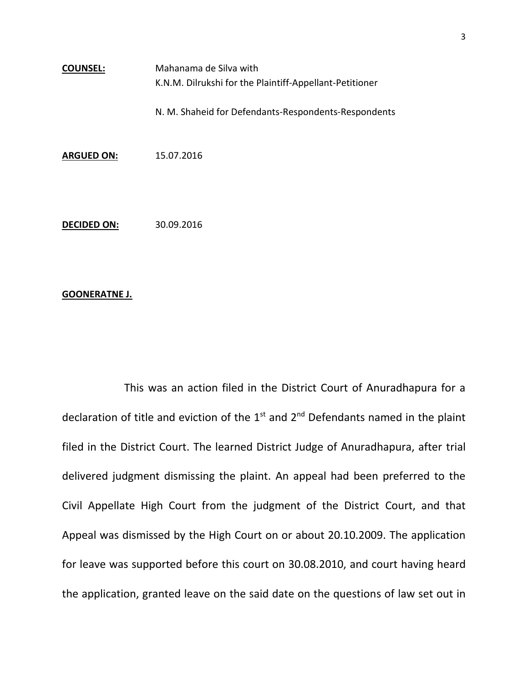**COUNSEL:** Mahanama de Silva with K.N.M. Dilrukshi for the Plaintiff-Appellant-Petitioner N. M. Shaheid for Defendants-Respondents-Respondents

**ARGUED ON:** 15.07.2016

**DECIDED ON:** 30.09.2016

### **GOONERATNE J.**

This was an action filed in the District Court of Anuradhapura for a declaration of title and eviction of the  $1<sup>st</sup>$  and  $2<sup>nd</sup>$  Defendants named in the plaint filed in the District Court. The learned District Judge of Anuradhapura, after trial delivered judgment dismissing the plaint. An appeal had been preferred to the Civil Appellate High Court from the judgment of the District Court, and that Appeal was dismissed by the High Court on or about 20.10.2009. The application for leave was supported before this court on 30.08.2010, and court having heard the application, granted leave on the said date on the questions of law set out in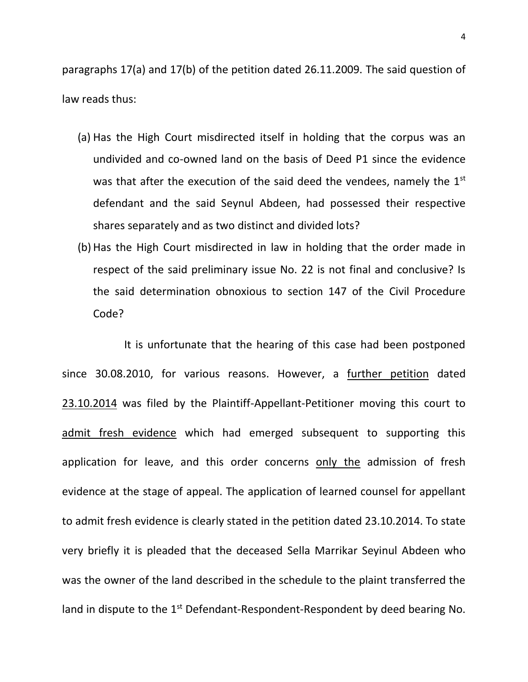paragraphs 17(a) and 17(b) of the petition dated 26.11.2009. The said question of law reads thus:

- (a) Has the High Court misdirected itself in holding that the corpus was an undivided and co-owned land on the basis of Deed P1 since the evidence was that after the execution of the said deed the vendees, namely the  $1<sup>st</sup>$ defendant and the said Seynul Abdeen, had possessed their respective shares separately and as two distinct and divided lots?
- (b) Has the High Court misdirected in law in holding that the order made in respect of the said preliminary issue No. 22 is not final and conclusive? Is the said determination obnoxious to section 147 of the Civil Procedure Code?

It is unfortunate that the hearing of this case had been postponed since 30.08.2010, for various reasons. However, a further petition dated 23.10.2014 was filed by the Plaintiff-Appellant-Petitioner moving this court to admit fresh evidence which had emerged subsequent to supporting this application for leave, and this order concerns only the admission of fresh evidence at the stage of appeal. The application of learned counsel for appellant to admit fresh evidence is clearly stated in the petition dated 23.10.2014. To state very briefly it is pleaded that the deceased Sella Marrikar Seyinul Abdeen who was the owner of the land described in the schedule to the plaint transferred the land in dispute to the 1<sup>st</sup> Defendant-Respondent-Respondent by deed bearing No.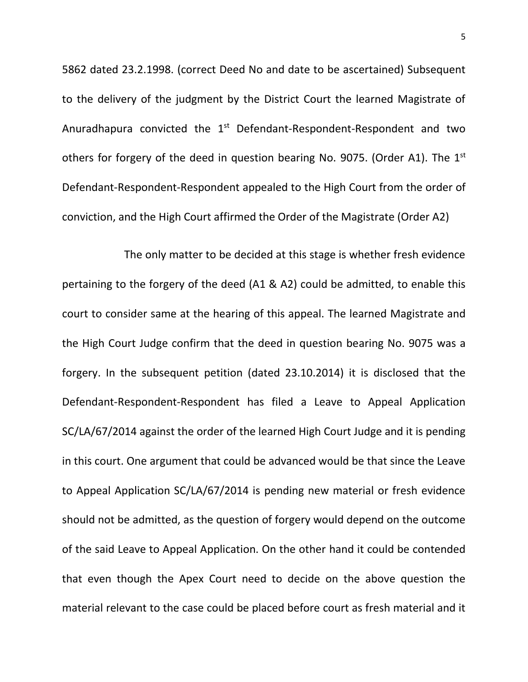5862 dated 23.2.1998. (correct Deed No and date to be ascertained) Subsequent to the delivery of the judgment by the District Court the learned Magistrate of Anuradhapura convicted the 1<sup>st</sup> Defendant-Respondent-Respondent and two others for forgery of the deed in question bearing No. 9075. (Order A1). The 1<sup>st</sup> Defendant-Respondent-Respondent appealed to the High Court from the order of conviction, and the High Court affirmed the Order of the Magistrate (Order A2)

The only matter to be decided at this stage is whether fresh evidence pertaining to the forgery of the deed (A1 & A2) could be admitted, to enable this court to consider same at the hearing of this appeal. The learned Magistrate and the High Court Judge confirm that the deed in question bearing No. 9075 was a forgery. In the subsequent petition (dated 23.10.2014) it is disclosed that the Defendant-Respondent-Respondent has filed a Leave to Appeal Application SC/LA/67/2014 against the order of the learned High Court Judge and it is pending in this court. One argument that could be advanced would be that since the Leave to Appeal Application SC/LA/67/2014 is pending new material or fresh evidence should not be admitted, as the question of forgery would depend on the outcome of the said Leave to Appeal Application. On the other hand it could be contended that even though the Apex Court need to decide on the above question the material relevant to the case could be placed before court as fresh material and it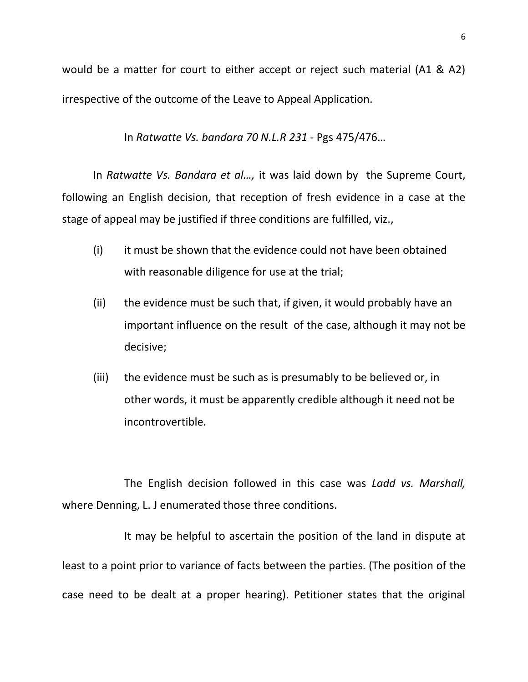would be a matter for court to either accept or reject such material (A1 & A2) irrespective of the outcome of the Leave to Appeal Application.

In *Ratwatte Vs. bandara 70 N.L.R 231* - Pgs 475/476…

In *Ratwatte Vs. Bandara et al…,* it was laid down by the Supreme Court, following an English decision, that reception of fresh evidence in a case at the stage of appeal may be justified if three conditions are fulfilled, viz.,

- (i) it must be shown that the evidence could not have been obtained with reasonable diligence for use at the trial;
- (ii) the evidence must be such that, if given, it would probably have an important influence on the result of the case, although it may not be decisive;
- (iii) the evidence must be such as is presumably to be believed or, in other words, it must be apparently credible although it need not be incontrovertible.

The English decision followed in this case was *Ladd vs. Marshall,*  where Denning, L. J enumerated those three conditions.

It may be helpful to ascertain the position of the land in dispute at least to a point prior to variance of facts between the parties. (The position of the case need to be dealt at a proper hearing). Petitioner states that the original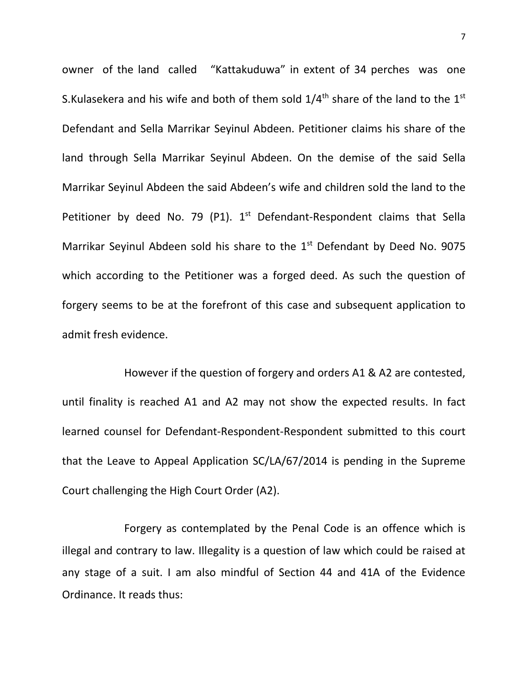owner of the land called "Kattakuduwa" in extent of 34 perches was one S.Kulasekera and his wife and both of them sold  $1/4^{\text{th}}$  share of the land to the  $1^{\text{st}}$ Defendant and Sella Marrikar Seyinul Abdeen. Petitioner claims his share of the land through Sella Marrikar Seyinul Abdeen. On the demise of the said Sella Marrikar Seyinul Abdeen the said Abdeen's wife and children sold the land to the Petitioner by deed No. 79 (P1). 1<sup>st</sup> Defendant-Respondent claims that Sella Marrikar Seyinul Abdeen sold his share to the  $1<sup>st</sup>$  Defendant by Deed No. 9075 which according to the Petitioner was a forged deed. As such the question of forgery seems to be at the forefront of this case and subsequent application to admit fresh evidence.

However if the question of forgery and orders A1 & A2 are contested, until finality is reached A1 and A2 may not show the expected results. In fact learned counsel for Defendant-Respondent-Respondent submitted to this court that the Leave to Appeal Application SC/LA/67/2014 is pending in the Supreme Court challenging the High Court Order (A2).

Forgery as contemplated by the Penal Code is an offence which is illegal and contrary to law. Illegality is a question of law which could be raised at any stage of a suit. I am also mindful of Section 44 and 41A of the Evidence Ordinance. It reads thus: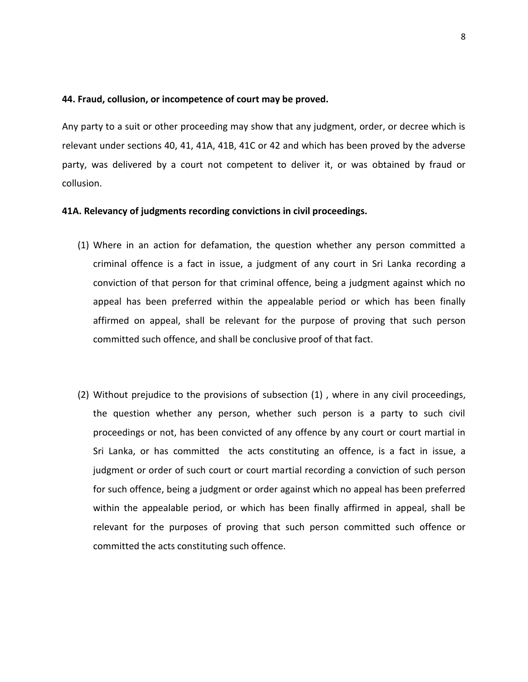#### **44. Fraud, collusion, or incompetence of court may be proved.**

Any party to a suit or other proceeding may show that any judgment, order, or decree which is relevant under sections 40, 41, 41A, 41B, 41C or 42 and which has been proved by the adverse party, was delivered by a court not competent to deliver it, or was obtained by fraud or collusion.

#### **41A. Relevancy of judgments recording convictions in civil proceedings.**

- (1) Where in an action for defamation, the question whether any person committed a criminal offence is a fact in issue, a judgment of any court in Sri Lanka recording a conviction of that person for that criminal offence, being a judgment against which no appeal has been preferred within the appealable period or which has been finally affirmed on appeal, shall be relevant for the purpose of proving that such person committed such offence, and shall be conclusive proof of that fact.
- (2) Without prejudice to the provisions of subsection (1) , where in any civil proceedings, the question whether any person, whether such person is a party to such civil proceedings or not, has been convicted of any offence by any court or court martial in Sri Lanka, or has committed the acts constituting an offence, is a fact in issue, a judgment or order of such court or court martial recording a conviction of such person for such offence, being a judgment or order against which no appeal has been preferred within the appealable period, or which has been finally affirmed in appeal, shall be relevant for the purposes of proving that such person committed such offence or committed the acts constituting such offence.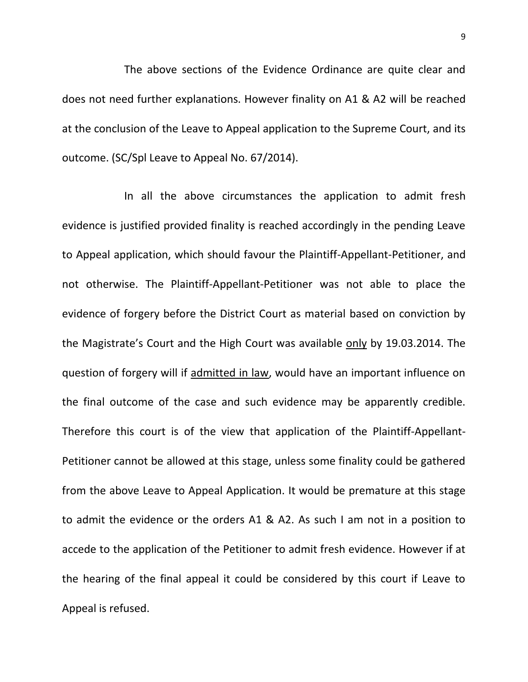The above sections of the Evidence Ordinance are quite clear and does not need further explanations. However finality on A1 & A2 will be reached at the conclusion of the Leave to Appeal application to the Supreme Court, and its outcome. (SC/Spl Leave to Appeal No. 67/2014).

In all the above circumstances the application to admit fresh evidence is justified provided finality is reached accordingly in the pending Leave to Appeal application, which should favour the Plaintiff-Appellant-Petitioner, and not otherwise. The Plaintiff-Appellant-Petitioner was not able to place the evidence of forgery before the District Court as material based on conviction by the Magistrate's Court and the High Court was available only by 19.03.2014. The question of forgery will if admitted in law, would have an important influence on the final outcome of the case and such evidence may be apparently credible. Therefore this court is of the view that application of the Plaintiff-Appellant-Petitioner cannot be allowed at this stage, unless some finality could be gathered from the above Leave to Appeal Application. It would be premature at this stage to admit the evidence or the orders A1 & A2. As such I am not in a position to accede to the application of the Petitioner to admit fresh evidence. However if at the hearing of the final appeal it could be considered by this court if Leave to Appeal is refused.